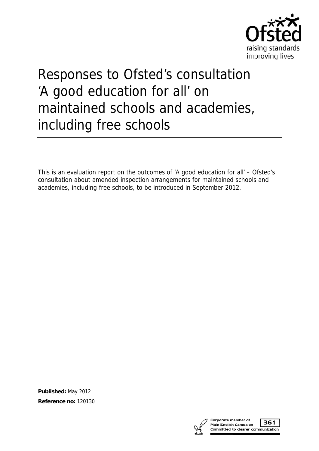

# Responses to Ofsted's consultation 'A good education for all' on maintained schools and academies, including free schools

This is an evaluation report on the outcomes of 'A good education for all' – Ofsted's consultation about amended inspection arrangements for maintained schools and academies, including free schools, to be introduced in September 2012.

**Published:** May 2012

**Reference no:** 120130



361 Committed to clearer communication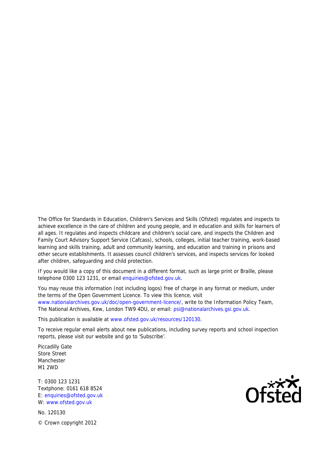The Office for Standards in Education, Children's Services and Skills (Ofsted) regulates and inspects to achieve excellence in the care of children and young people, and in education and skills for learners of all ages. It regulates and inspects childcare and children's social care, and inspects the Children and Family Court Advisory Support Service (Cafcass), schools, colleges, initial teacher training, work-based learning and skills training, adult and community learning, and education and training in prisons and other secure establishments. It assesses council children's services, and inspects services for looked after children, safeguarding and child protection.

If you would like a copy of this document in a different format, such as large print or Braille, please telephone 0300 123 1231, or email enquiries@ofsted.gov.uk.

You may reuse this information (not including logos) free of charge in any format or medium, under the terms of the Open Government Licence. To view this licence, visit www.nationalarchives.gov.uk/doc/open-government-licence/, write to the Information Policy Team, The National Archives, Kew, London TW9 4DU, or email: psi@nationalarchives.gsi.gov.uk.

This publication is available at www.ofsted.gov.uk/resources/120130.

To receive regular email alerts about new publications, including survey reports and school inspection reports, please visit our website and go to 'Subscribe'.

Piccadilly Gate Store Street **Manchester** M1 2WD

T: 0300 123 1231 Textphone: 0161 618 8524 E: enquiries@ofsted.gov.uk W: www.ofsted.gov.uk

No. 120130 © Crown copyright 2012

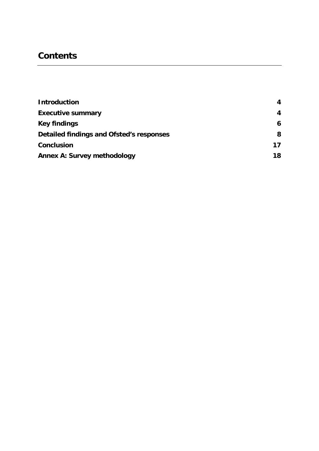# **Contents**

| <b>Introduction</b>                      | 4  |
|------------------------------------------|----|
| <b>Executive summary</b>                 | 4  |
| <b>Key findings</b>                      | 6  |
| Detailed findings and Ofsted's responses | 8  |
| <b>Conclusion</b>                        | 17 |
| <b>Annex A: Survey methodology</b>       | 18 |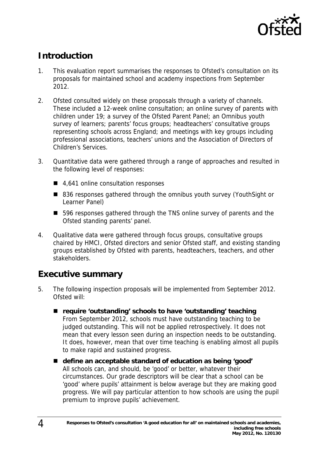

# **Introduction**

- 1. This evaluation report summarises the responses to Ofsted's consultation on its proposals for maintained school and academy inspections from September 2012.
- 2. Ofsted consulted widely on these proposals through a variety of channels. These included a 12-week online consultation; an online survey of parents with children under 19; a survey of the Ofsted Parent Panel; an Omnibus youth survey of learners; parents' focus groups; headteachers' consultative groups representing schools across England; and meetings with key groups including professional associations, teachers' unions and the Association of Directors of Children's Services.
- 3. Quantitative data were gathered through a range of approaches and resulted in the following level of responses:
	- 4,641 online consultation responses
	- 836 responses gathered through the omnibus youth survey (YouthSight or Learner Panel)
	- 596 responses gathered through the TNS online survey of parents and the Ofsted standing parents' panel.
- 4. Qualitative data were gathered through focus groups, consultative groups chaired by HMCI, Ofsted directors and senior Ofsted staff, and existing standing groups established by Ofsted with parents, headteachers, teachers, and other stakeholders.

# **Executive summary**

- 5. The following inspection proposals will be implemented from September 2012. Ofsted will:
	- require 'outstanding' schools to have 'outstanding' teaching From September 2012, schools must have outstanding teaching to be judged outstanding. This will not be applied retrospectively. It does not mean that every lesson seen during an inspection needs to be outstanding. It does, however, mean that over time teaching is enabling almost all pupils to make rapid and sustained progress.
	- **define an acceptable standard of education as being 'good'** All schools can, and should, be 'good' or better, whatever their circumstances. Our grade descriptors will be clear that a school can be 'good' where pupils' attainment is below average but they are making good progress. We will pay particular attention to how schools are using the pupil premium to improve pupils' achievement.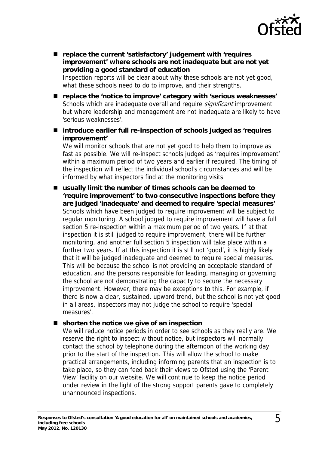

■ replace the current 'satisfactory' judgement with 'requires **improvement' where schools are not inadequate but are not yet providing a good standard of education**

Inspection reports will be clear about why these schools are not yet good, what these schools need to do to improve, and their strengths.

- **replace the 'notice to improve' category with 'serious weaknesses'** Schools which are inadequate overall and require *significant* improvement but where leadership and management are not inadequate are likely to have 'serious weaknesses'.
- introduce earlier full re-inspection of schools judged as 'requires **improvement'**

We will monitor schools that are not yet good to help them to improve as fast as possible. We will re-inspect schools judged as 'requires improvement' within a maximum period of two years and earlier if required. The timing of the inspection will reflect the individual school's circumstances and will be informed by what inspectors find at the monitoring visits.

■ usually limit the number of times schools can be deemed to **'require improvement' to two consecutive inspections before they are judged 'inadequate' and deemed to require 'special measures'** Schools which have been judged to require improvement will be subject to regular monitoring. A school judged to require improvement will have a full section 5 re-inspection within a maximum period of two years. If at that inspection it is still judged to require improvement, there will be further monitoring, and another full section 5 inspection will take place within a further two years. If at this inspection it is still not 'good', it is highly likely that it will be judged inadequate and deemed to require special measures. This will be because the school is not providing an acceptable standard of education, and the persons responsible for leading, managing or governing the school are not demonstrating the capacity to secure the necessary improvement. However, there may be exceptions to this. For example, if there is now a clear, sustained, upward trend, but the school is not yet good in all areas, inspectors may not judge the school to require 'special measures'.

#### ■ shorten the notice we give of an inspection

We will reduce notice periods in order to see schools as they really are. We reserve the right to inspect without notice, but inspectors will normally contact the school by telephone during the afternoon of the working day prior to the start of the inspection. This will allow the school to make practical arrangements, including informing parents that an inspection is to take place, so they can feed back their views to Ofsted using the 'Parent View' facility on our website. We will continue to keep the notice period under review in the light of the strong support parents gave to completely unannounced inspections.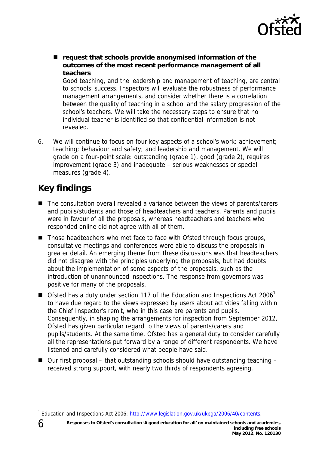

■ request that schools provide anonymised information of the **outcomes of the most recent performance management of all teachers**

Good teaching, and the leadership and management of teaching, are central to schools' success. Inspectors will evaluate the robustness of performance management arrangements, and consider whether there is a correlation between the quality of teaching in a school and the salary progression of the school's teachers. We will take the necessary steps to ensure that no individual teacher is identified so that confidential information is not revealed.

6. We will continue to focus on four key aspects of a school's work: achievement; teaching; behaviour and safety; and leadership and management. We will grade on a four-point scale: outstanding (grade 1), good (grade 2), requires improvement (grade 3) and inadequate – serious weaknesses or special measures (grade 4).

# **Key findings**

- The consultation overall revealed a variance between the views of parents/carers and pupils/students and those of headteachers and teachers. Parents and pupils were in favour of all the proposals, whereas headteachers and teachers who responded online did not agree with all of them.
- $\blacksquare$  Those headteachers who met face to face with Ofsted through focus groups, consultative meetings and conferences were able to discuss the proposals in greater detail. An emerging theme from these discussions was that headteachers did not disagree with the principles underlying the proposals, but had doubts about the implementation of some aspects of the proposals, such as the introduction of unannounced inspections. The response from governors was positive for many of the proposals.
- Geta of Ofsted has a duty under section 117 of the Education and Inspections Act 2006<sup>1</sup> to have due regard to the views expressed by users about activities falling within the Chief Inspector's remit, who in this case are parents and pupils. Consequently, in shaping the arrangements for inspection from September 2012, Ofsted has given particular regard to the views of parents/carers and pupils/students. At the same time, Ofsted has a general duty to consider carefully all the representations put forward by a range of different respondents. We have listened and carefully considered what people have said.
- $\Box$  Our first proposal that outstanding schools should have outstanding teaching received strong support, with nearly two thirds of respondents agreeing.

-

<sup>&</sup>lt;sup>1</sup> Education and Inspections Act 2006: http://www.legislation.gov.uk/ukpga/2006/40/contents.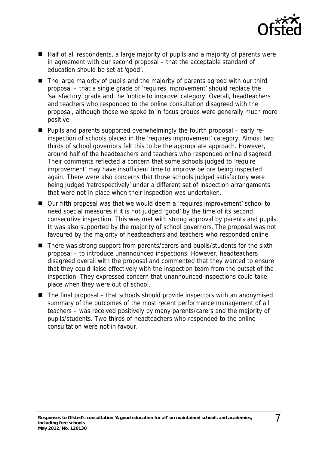

- Half of all respondents, a large majority of pupils and a majority of parents were in agreement with our second proposal – that the acceptable standard of education should be set at 'good'.
- The large majority of pupils and the majority of parents agreed with our third proposal – that a single grade of 'requires improvement' should replace the 'satisfactory' grade and the 'notice to improve' category. Overall, headteachers and teachers who responded to the online consultation disagreed with the proposal, although those we spoke to in focus groups were generally much more positive.
- Pupils and parents supported overwhelmingly the fourth proposal early reinspection of schools placed in the 'requires improvement' category. Almost two thirds of school governors felt this to be the appropriate approach. However, around half of the headteachers and teachers who responded online disagreed. Their comments reflected a concern that some schools judged to 'require improvement' may have insufficient time to improve before being inspected again. There were also concerns that those schools judged satisfactory were being judged 'retrospectively' under a different set of inspection arrangements that were not in place when their inspection was undertaken.
- Our fifth proposal was that we would deem a 'requires improvement' school to need special measures if it is not judged 'good' by the time of its second consecutive inspection. This was met with strong approval by parents and pupils. It was also supported by the majority of school governors. The proposal was not favoured by the majority of headteachers and teachers who responded online.
- There was strong support from parents/carers and pupils/students for the sixth proposal – to introduce unannounced inspections. However, headteachers disagreed overall with the proposal and commented that they wanted to ensure that they could liaise effectively with the inspection team from the outset of the inspection. They expressed concern that unannounced inspections could take place when they were out of school.
- $\blacksquare$  The final proposal that schools should provide inspectors with an anonymised summary of the outcomes of the most recent performance management of all teachers – was received positively by many parents/carers and the majority of pupils/students. Two thirds of headteachers who responded to the online consultation were not in favour.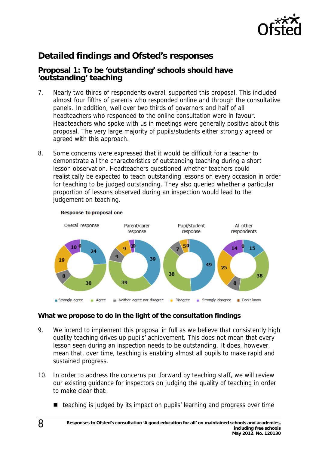

# **Detailed findings and Ofsted's responses**

## **Proposal 1: To be 'outstanding' schools should have 'outstanding' teaching**

- 7. Nearly two thirds of respondents overall supported this proposal. This included almost four fifths of parents who responded online and through the consultative panels. In addition, well over two thirds of governors and half of all headteachers who responded to the online consultation were in favour. Headteachers who spoke with us in meetings were generally positive about this proposal. The very large majority of pupils/students either strongly agreed or agreed with this approach.
- 8. Some concerns were expressed that it would be difficult for a teacher to demonstrate all the characteristics of outstanding teaching during a short lesson observation. Headteachers questioned whether teachers could realistically be expected to teach outstanding lessons on every occasion in order for teaching to be judged outstanding. They also queried whether a particular proportion of lessons observed during an inspection would lead to the judgement on teaching.



#### Response to proposal one

- 9. We intend to implement this proposal in full as we believe that consistently high quality teaching drives up pupils' achievement. This does not mean that every lesson seen during an inspection needs to be outstanding. It does, however, mean that, over time, teaching is enabling almost all pupils to make rapid and sustained progress.
- 10. In order to address the concerns put forward by teaching staff, we will review our existing guidance for inspectors on judging the quality of teaching in order to make clear that:
	- teaching is judged by its impact on pupils' learning and progress over time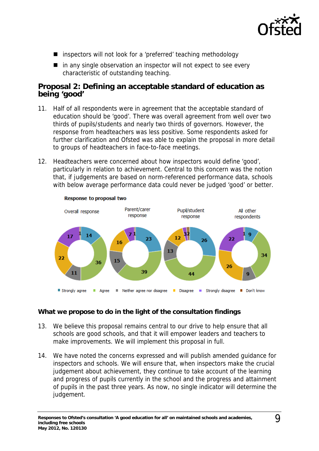

- inspectors will not look for a 'preferred' teaching methodology
- $\blacksquare$  in any single observation an inspector will not expect to see every characteristic of outstanding teaching.

## **Proposal 2: Defining an acceptable standard of education as being 'good'**

- 11. Half of all respondents were in agreement that the acceptable standard of education should be 'good'. There was overall agreement from well over two thirds of pupils/students and nearly two thirds of governors. However, the response from headteachers was less positive. Some respondents asked for further clarification and Ofsted was able to explain the proposal in more detail to groups of headteachers in face-to-face meetings.
- 12. Headteachers were concerned about how inspectors would define 'good', particularly in relation to achievement. Central to this concern was the notion that, if judgements are based on norm-referenced performance data, schools with below average performance data could never be judged 'good' or better.



- 13. We believe this proposal remains central to our drive to help ensure that all schools are good schools, and that it will empower leaders and teachers to make improvements. We will implement this proposal in full.
- 14. We have noted the concerns expressed and will publish amended guidance for inspectors and schools. We will ensure that, when inspectors make the crucial judgement about achievement, they continue to take account of the learning and progress of pupils currently in the school and the progress and attainment of pupils in the past three years. As now, no single indicator will determine the judgement.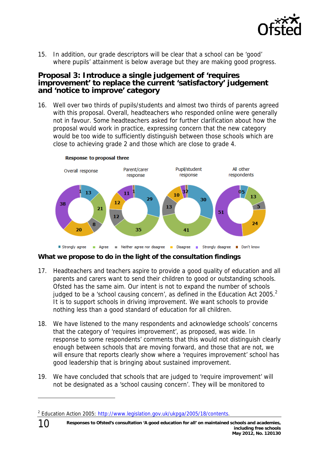

15. In addition, our grade descriptors will be clear that a school can be 'good' where pupils' attainment is below average but they are making good progress.

### **Proposal 3: Introduce a single judgement of 'requires improvement' to replace the current 'satisfactory' judgement and 'notice to improve' category**

16. Well over two thirds of pupils/students and almost two thirds of parents agreed with this proposal. Overall, headteachers who responded online were generally not in favour. Some headteachers asked for further clarification about how the proposal would work in practice, expressing concern that the new category would be too wide to sufficiently distinguish between those schools which are close to achieving grade 2 and those which are close to grade 4.



**What we propose to do in the light of the consultation findings** 

- 17. Headteachers and teachers aspire to provide a good quality of education and all parents and carers want to send their children to good or outstanding schools. Ofsted has the same aim. Our intent is not to expand the number of schools judged to be a 'school causing concern', as defined in the Education Act 2005. $^2$ It is to support schools in driving improvement. We want schools to provide nothing less than a good standard of education for all children.
- 18. We have listened to the many respondents and acknowledge schools' concerns that the category of 'requires improvement', as proposed, was wide. In response to some respondents' comments that this would not distinguish clearly enough between schools that are moving forward, and those that are not, we will ensure that reports clearly show where a 'requires improvement' school has good leadership that is bringing about sustained improvement.
- 19. We have concluded that schools that are judged to 'require improvement' will not be designated as a 'school causing concern'. They will be monitored to

10

-

<sup>&</sup>lt;sup>2</sup> Education Action 2005: http://www.legislation.gov.uk/ukpga/2005/18/contents.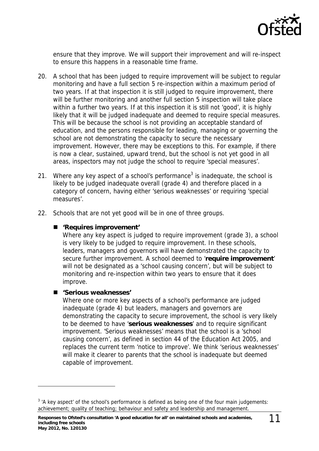

ensure that they improve. We will support their improvement and will re-inspect to ensure this happens in a reasonable time frame.

- 20. A school that has been judged to require improvement will be subject to regular monitoring and have a full section 5 re-inspection within a maximum period of two years. If at that inspection it is still judged to require improvement, there will be further monitoring and another full section 5 inspection will take place within a further two years. If at this inspection it is still not 'good', it is highly likely that it will be judged inadequate and deemed to require special measures. This will be because the school is not providing an acceptable standard of education, and the persons responsible for leading, managing or governing the school are not demonstrating the capacity to secure the necessary improvement. However, there may be exceptions to this. For example, if there is now a clear, sustained, upward trend, but the school is not yet good in all areas, inspectors may not judge the school to require 'special measures'.
- 21. Where any key aspect of a school's performance<sup>3</sup> is inadequate, the school is likely to be judged inadequate overall (grade 4) and therefore placed in a category of concern, having either 'serious weaknesses' or requiring 'special measures'.
- 22. Schools that are not yet good will be in one of three groups.

#### **'Requires improvement'**

Where any key aspect is judged to require improvement (grade 3), a school is very likely to be judged to require improvement. In these schools, leaders, managers and governors will have demonstrated the capacity to secure further improvement. A school deemed to '**require improvement**' will not be designated as a 'school causing concern', but will be subject to monitoring and re-inspection within two years to ensure that it does improve.

#### **'Serious weaknesses'**

-

Where one or more key aspects of a school's performance are judged inadequate (grade 4) but leaders, managers and governors are demonstrating the capacity to secure improvement, the school is very likely to be deemed to have '**serious weaknesses**' and to require significant improvement. 'Serious weaknesses' means that the school is a 'school causing concern', as defined in section 44 of the Education Act 2005, and replaces the current term 'notice to improve'. We think 'serious weaknesses' will make it clearer to parents that the school is inadequate but deemed capable of improvement.

 $3$  'A key aspect' of the school's performance is defined as being one of the four main judgements: achievement; quality of teaching; behaviour and safety and leadership and management.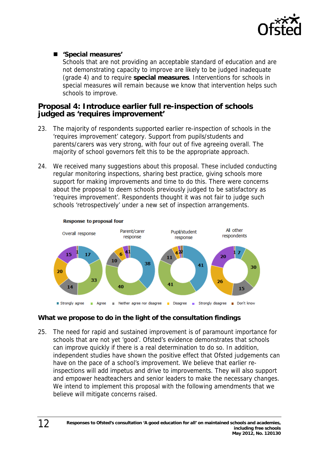

### **'Special measures'**

Schools that are not providing an acceptable standard of education and are not demonstrating capacity to improve are likely to be judged inadequate (grade 4) and to require **special measures**. Interventions for schools in special measures will remain because we know that intervention helps such schools to improve.

### **Proposal 4: Introduce earlier full re-inspection of schools judged as 'requires improvement'**

- 23. The majority of respondents supported earlier re-inspection of schools in the 'requires improvement' category. Support from pupils/students and parents/carers was very strong, with four out of five agreeing overall. The majority of school governors felt this to be the appropriate approach.
- 24. We received many suggestions about this proposal. These included conducting regular monitoring inspections, sharing best practice, giving schools more support for making improvements and time to do this. There were concerns about the proposal to deem schools previously judged to be satisfactory as 'requires improvement'. Respondents thought it was not fair to judge such schools 'retrospectively' under a new set of inspection arrangements.



# **What we propose to do in the light of the consultation findings**

25. The need for rapid and sustained improvement is of paramount importance for schools that are not yet 'good'. Ofsted's evidence demonstrates that schools can improve quickly if there is a real determination to do so. In addition, independent studies have shown the positive effect that Ofsted judgements can have on the pace of a school's improvement. We believe that earlier reinspections will add impetus and drive to improvements. They will also support and empower headteachers and senior leaders to make the necessary changes. We intend to implement this proposal with the following amendments that we believe will mitigate concerns raised.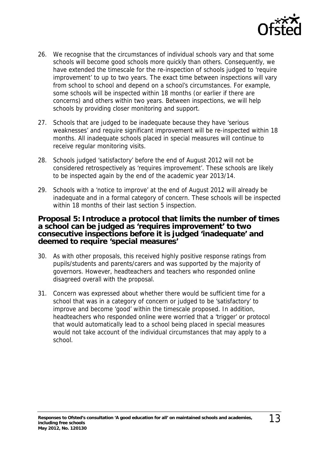

- 26. We recognise that the circumstances of individual schools vary and that some schools will become good schools more quickly than others. Consequently, we have extended the timescale for the re-inspection of schools judged to 'require improvement' to up to two years. The exact time between inspections will vary from school to school and depend on a school's circumstances. For example, some schools will be inspected within 18 months (or earlier if there are concerns) and others within two years. Between inspections, we will help schools by providing closer monitoring and support.
- 27. Schools that are judged to be inadequate because they have 'serious weaknesses' and require significant improvement will be re-inspected within 18 months. All inadequate schools placed in special measures will continue to receive regular monitoring visits.
- 28. Schools judged 'satisfactory' before the end of August 2012 will not be considered retrospectively as 'requires improvement'. These schools are likely to be inspected again by the end of the academic year 2013/14.
- 29. Schools with a 'notice to improve' at the end of August 2012 will already be inadequate and in a formal category of concern. These schools will be inspected within 18 months of their last section 5 inspection.

#### **Proposal 5: Introduce a protocol that limits the number of times a school can be judged as 'requires improvement' to two consecutive inspections before it is judged 'inadequate' and deemed to require 'special measures'**

- 30. As with other proposals, this received highly positive response ratings from pupils/students and parents/carers and was supported by the majority of governors. However, headteachers and teachers who responded online disagreed overall with the proposal.
- 31. Concern was expressed about whether there would be sufficient time for a school that was in a category of concern or judged to be 'satisfactory' to improve and become 'good' within the timescale proposed. In addition, headteachers who responded online were worried that a 'trigger' or protocol that would automatically lead to a school being placed in special measures would not take account of the individual circumstances that may apply to a school.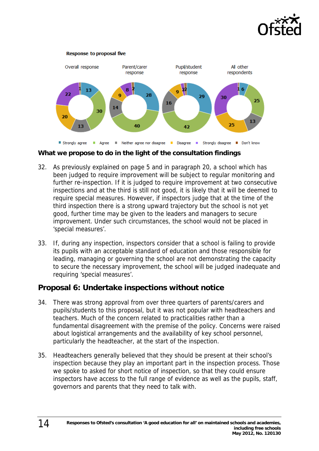



**What we propose to do in the light of the consultation findings** 

- 32. As previously explained on page 5 and in paragraph 20, a school which has been judged to require improvement will be subject to regular monitoring and further re-inspection. If it is judged to require improvement at two consecutive inspections and at the third is still not good, it is likely that it will be deemed to require special measures. However, if inspectors judge that at the time of the third inspection there is a strong upward trajectory but the school is not yet good, further time may be given to the leaders and managers to secure improvement. Under such circumstances, the school would not be placed in 'special measures'.
- 33. If, during any inspection, inspectors consider that a school is failing to provide its pupils with an acceptable standard of education and those responsible for leading, managing or governing the school are not demonstrating the capacity to secure the necessary improvement, the school will be judged inadequate and requiring 'special measures'.

# **Proposal 6: Undertake inspections without notice**

- 34. There was strong approval from over three quarters of parents/carers and pupils/students to this proposal, but it was not popular with headteachers and teachers. Much of the concern related to practicalities rather than a fundamental disagreement with the premise of the policy. Concerns were raised about logistical arrangements and the availability of key school personnel, particularly the headteacher, at the start of the inspection.
- 35. Headteachers generally believed that they should be present at their school's inspection because they play an important part in the inspection process. Those we spoke to asked for short notice of inspection, so that they could ensure inspectors have access to the full range of evidence as well as the pupils, staff, governors and parents that they need to talk with.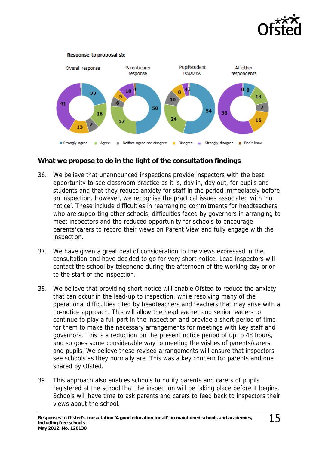



- 36. We believe that unannounced inspections provide inspectors with the best opportunity to see classroom practice as it is, day in, day out, for pupils and students and that they reduce anxiety for staff in the period immediately before an inspection. However, we recognise the practical issues associated with 'no notice'. These include difficulties in rearranging commitments for headteachers who are supporting other schools, difficulties faced by governors in arranging to meet inspectors and the reduced opportunity for schools to encourage parents/carers to record their views on Parent View and fully engage with the inspection.
- 37. We have given a great deal of consideration to the views expressed in the consultation and have decided to go for very short notice. Lead inspectors will contact the school by telephone during the afternoon of the working day prior to the start of the inspection.
- 38. We believe that providing short notice will enable Ofsted to reduce the anxiety that can occur in the lead-up to inspection, while resolving many of the operational difficulties cited by headteachers and teachers that may arise with a no-notice approach. This will allow the headteacher and senior leaders to continue to play a full part in the inspection and provide a short period of time for them to make the necessary arrangements for meetings with key staff and governors. This is a reduction on the present notice period of up to 48 hours, and so goes some considerable way to meeting the wishes of parents/carers and pupils. We believe these revised arrangements will ensure that inspectors see schools as they normally are. This was a key concern for parents and one shared by Ofsted.
- 39. This approach also enables schools to notify parents and carers of pupils registered at the school that the inspection will be taking place before it begins. Schools will have time to ask parents and carers to feed back to inspectors their views about the school.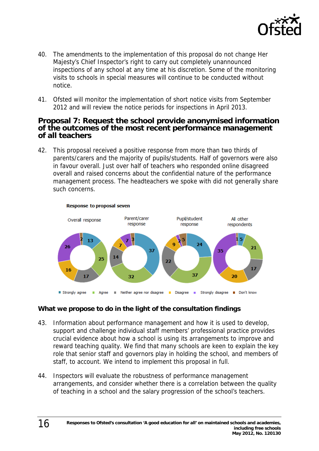

- 40. The amendments to the implementation of this proposal do not change Her Majesty's Chief Inspector's right to carry out completely unannounced inspections of any school at any time at his discretion. Some of the monitoring visits to schools in special measures will continue to be conducted without notice.
- 41. Ofsted will monitor the implementation of short notice visits from September 2012 and will review the notice periods for inspections in April 2013.

### **Proposal 7: Request the school provide anonymised information of the outcomes of the most recent performance management of all teachers**

42. This proposal received a positive response from more than two thirds of parents/carers and the majority of pupils/students. Half of governors were also in favour overall. Just over half of teachers who responded online disagreed overall and raised concerns about the confidential nature of the performance management process. The headteachers we spoke with did not generally share such concerns.



#### **Response to proposal seven**

- 43. Information about performance management and how it is used to develop, support and challenge individual staff members' professional practice provides crucial evidence about how a school is using its arrangements to improve and reward teaching quality. We find that many schools are keen to explain the key role that senior staff and governors play in holding the school, and members of staff, to account. We intend to implement this proposal in full.
- 44. Inspectors will evaluate the robustness of performance management arrangements, and consider whether there is a correlation between the quality of teaching in a school and the salary progression of the school's teachers.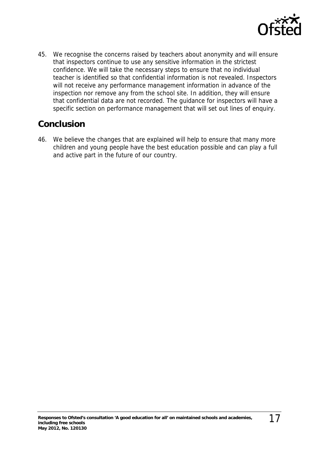

45. We recognise the concerns raised by teachers about anonymity and will ensure that inspectors continue to use any sensitive information in the strictest confidence. We will take the necessary steps to ensure that no individual teacher is identified so that confidential information is not revealed. Inspectors will not receive any performance management information in advance of the inspection nor remove any from the school site. In addition, they will ensure that confidential data are not recorded. The guidance for inspectors will have a specific section on performance management that will set out lines of enquiry.

# **Conclusion**

46. We believe the changes that are explained will help to ensure that many more children and young people have the best education possible and can play a full and active part in the future of our country.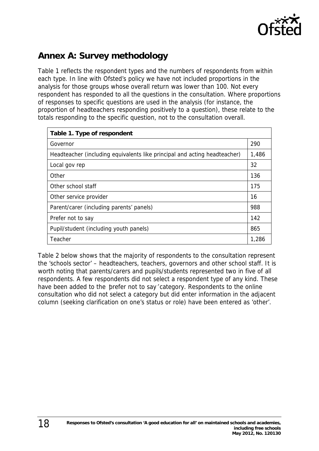

# **Annex A: Survey methodology**

Table 1 reflects the respondent types and the numbers of respondents from within each type. In line with Ofsted's policy we have not included proportions in the analysis for those groups whose overall return was lower than 100. Not every respondent has responded to all the questions in the consultation. Where proportions of responses to specific questions are used in the analysis (for instance, the proportion of headteachers responding positively to a question), these relate to the totals responding to the specific question, not to the consultation overall.

| Table 1. Type of respondent                                               |       |
|---------------------------------------------------------------------------|-------|
| Governor                                                                  | 290   |
| Headteacher (including equivalents like principal and acting headteacher) | 1,486 |
| Local gov rep                                                             | 32    |
| Other                                                                     | 136   |
| Other school staff                                                        | 175   |
| Other service provider                                                    | 16    |
| Parent/carer (including parents' panels)                                  | 988   |
| Prefer not to say                                                         | 142   |
| Pupil/student (including youth panels)                                    | 865   |
| Teacher                                                                   | 1,286 |

Table 2 below shows that the majority of respondents to the consultation represent the 'schools sector' – headteachers, teachers, governors and other school staff. It is worth noting that parents/carers and pupils/students represented two in five of all respondents. A few respondents did not select a respondent type of any kind. These have been added to the prefer not to say 'category. Respondents to the online consultation who did not select a category but did enter information in the adjacent column (seeking clarification on one's status or role) have been entered as 'other'.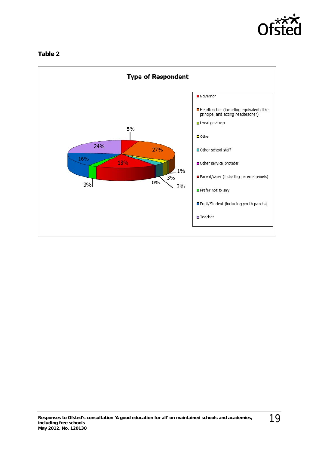